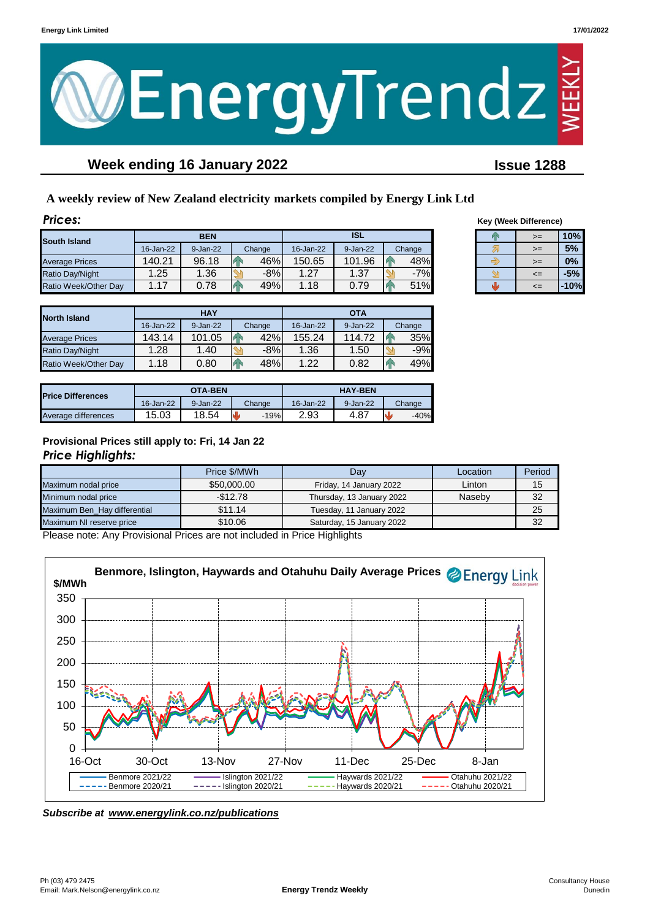



# **Week ending 16 January 2022 Issue 1288**

# **A weekly review of New Zealand electricity markets compiled by Energy Link Ltd**

| <b>Prices:</b>         |           |            |  |        |            |          |  |        |      | <b>Key (Week Difference)</b> |        |
|------------------------|-----------|------------|--|--------|------------|----------|--|--------|------|------------------------------|--------|
| South Island           |           | <b>BEN</b> |  |        | <b>ISL</b> |          |  |        | $>=$ | 10%                          |        |
|                        | 16-Jan-22 | 9-Jan-22   |  | Change | 16-Jan-22  | 9-Jan-22 |  | Change |      | $>=$                         | 5%     |
| <b>Average Prices</b>  | 140.21    | 96.18      |  | 46%    | 150.65     | 101.96   |  | 48%    |      | $>=$                         | $0\%$  |
| <b>Ratio Day/Night</b> | 25. ا     | 1.36       |  | $-8%$  | .27        | 1.37     |  | $-7%$  |      | $\leq$                       | $-5%$  |
| Ratio Week/Other Day   | 1.17      | 0.78       |  | 49%    | .18        | 0.79     |  | 51%    |      | $\leq$                       | $-10%$ |

| <b>North Island</b>   |           | <b>HAY</b> |        | <b>OTA</b> |          |        |  |
|-----------------------|-----------|------------|--------|------------|----------|--------|--|
|                       | 16-Jan-22 | 9-Jan-22   | Change | 16-Jan-22  | 9-Jan-22 | Change |  |
| <b>Average Prices</b> | 143.14    | 101.05     | 42%    | 155.24     | 114.72   | 35%    |  |
| Ratio Day/Night       | 1.28      | 1.40       | $-8%$  | 1.36       | 1.50     | $-9%$  |  |
| Ratio Week/Other Day  | .18       | 0.80       | 48%    | 1.22       | 0.82     | 49%    |  |

| <b>Price Differences</b> |           | <b>OTA-BEN</b> |        | <b>HAY-BEN</b> |          |        |  |
|--------------------------|-----------|----------------|--------|----------------|----------|--------|--|
|                          | 16-Jan-22 | $9 - Jan-22$   | Change | 16-Jan-22      | 9-Jan-22 | Change |  |
| Average differences      | 15.03     | 18.54          | $-19%$ | 2.93           | 4.87     | $-40%$ |  |

# **Provisional Prices still apply to: Fri, 14 Jan 22**

## *Price Highlights:*

|                              | Price \$/MWh | Dav                       | Location | Period |
|------------------------------|--------------|---------------------------|----------|--------|
| Maximum nodal price          | \$50,000,00  | Friday, 14 January 2022   | Linton   | 15     |
| Minimum nodal price          | $-$12.78$    | Thursday, 13 January 2022 | Naseby   | 32     |
| Maximum Ben Hay differential | \$11.14      | Tuesday, 11 January 2022  |          | 25     |
| Maximum NI reserve price     | \$10.06      | Saturday, 15 January 2022 |          | 32     |

Please note: Any Provisional Prices are not included in Price Highlights



*Subscribe at www.energylink.co.nz/publications*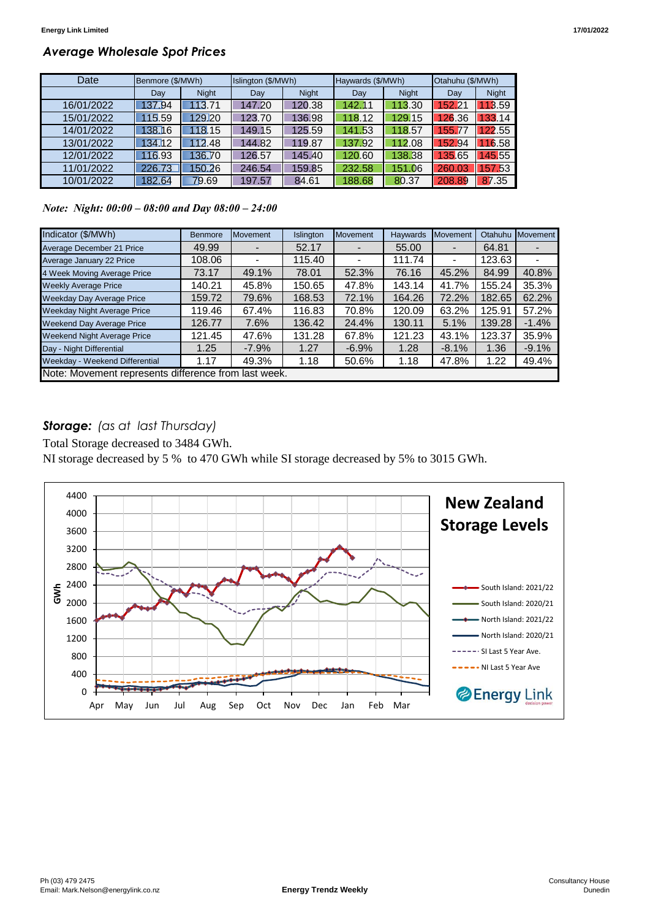## *Average Wholesale Spot Prices*

| Date       | Benmore (\$/MWh) |              | Islington (\$/MWh) |              | Haywards (\$/MWh) |              | Otahuhu (\$/MWh) |              |
|------------|------------------|--------------|--------------------|--------------|-------------------|--------------|------------------|--------------|
|            | Day              | <b>Night</b> | Day                | <b>Night</b> | Day               | <b>Night</b> | Day              | <b>Night</b> |
| 16/01/2022 | 137.94           | 113.71       | 147.20             | 120.38       | 142.11            | 113.30       | 152.21           | 13.59        |
| 15/01/2022 | 115.59           | 129.20       | 123.70             | 136.98       | 118.12            | 129.15       | 126.36           | 33.14        |
| 14/01/2022 | 138.16           | 118.15       | 149.15             | 125.59       | 141.53            | 118.57       | 155.77           | 122.55       |
| 13/01/2022 | 134.12           | 112.48       | 144.82             | 119.87       | 137.92            | 112.08       | 152.94           | 16.58        |
| 12/01/2022 | 116.93           | 136.70       | 126.57             | 145.40       | 120.60            | 138.38       | 135.65           | 45.55        |
| 11/01/2022 | 226.73           | 150.26       | 246.54             | 159.85       | 232.58            | 151.06       | 260.03           | 57.53        |
| 10/01/2022 | 182.64           | 79.69        | 197.57             | 84.61        | 188.68            | 80.37        | 208.89           | 87.35        |

*Note: Night: 00:00 – 08:00 and Day 08:00 – 24:00*

| Indicator (\$/MWh)                                   | <b>Benmore</b> | Movement | Islington | <b>Movement</b> | <b>Haywards</b> | Movement | Otahuhu | Movement |  |
|------------------------------------------------------|----------------|----------|-----------|-----------------|-----------------|----------|---------|----------|--|
| Average December 21 Price                            | 49.99          |          | 52.17     |                 | 55.00           |          | 64.81   |          |  |
| Average January 22 Price                             | 108.06         |          | 115.40    |                 | 111.74          |          | 123.63  |          |  |
| 4 Week Moving Average Price                          | 73.17          | 49.1%    | 78.01     | 52.3%           | 76.16           | 45.2%    | 84.99   | 40.8%    |  |
| <b>Weekly Average Price</b>                          | 140.21         | 45.8%    | 150.65    | 47.8%           | 143.14          | 41.7%    | 155.24  | 35.3%    |  |
| <b>Weekday Day Average Price</b>                     | 159.72         | 79.6%    | 168.53    | 72.1%           | 164.26          | 72.2%    | 182.65  | 62.2%    |  |
| <b>Weekday Night Average Price</b>                   | 119.46         | 67.4%    | 116.83    | 70.8%           | 120.09          | 63.2%    | 125.91  | 57.2%    |  |
| <b>Weekend Day Average Price</b>                     | 126.77         | 7.6%     | 136.42    | 24.4%           | 130.11          | 5.1%     | 139.28  | $-1.4%$  |  |
| <b>Weekend Night Average Price</b>                   | 121.45         | 47.6%    | 131.28    | 67.8%           | 121.23          | 43.1%    | 123.37  | 35.9%    |  |
| Day - Night Differential                             | 1.25           | $-7.9\%$ | 1.27      | $-6.9%$         | 1.28            | $-8.1%$  | 1.36    | $-9.1%$  |  |
| Weekday - Weekend Differential                       | 1.17           | 49.3%    | 1.18      | 50.6%           | 1.18            | 47.8%    | 1.22    | 49.4%    |  |
| Note: Movement represents difference from last week. |                |          |           |                 |                 |          |         |          |  |

# *Storage: (as at last Thursday)*

Total Storage decreased to 3484 GWh.

NI storage decreased by 5 % to 470 GWh while SI storage decreased by 5% to 3015 GWh.

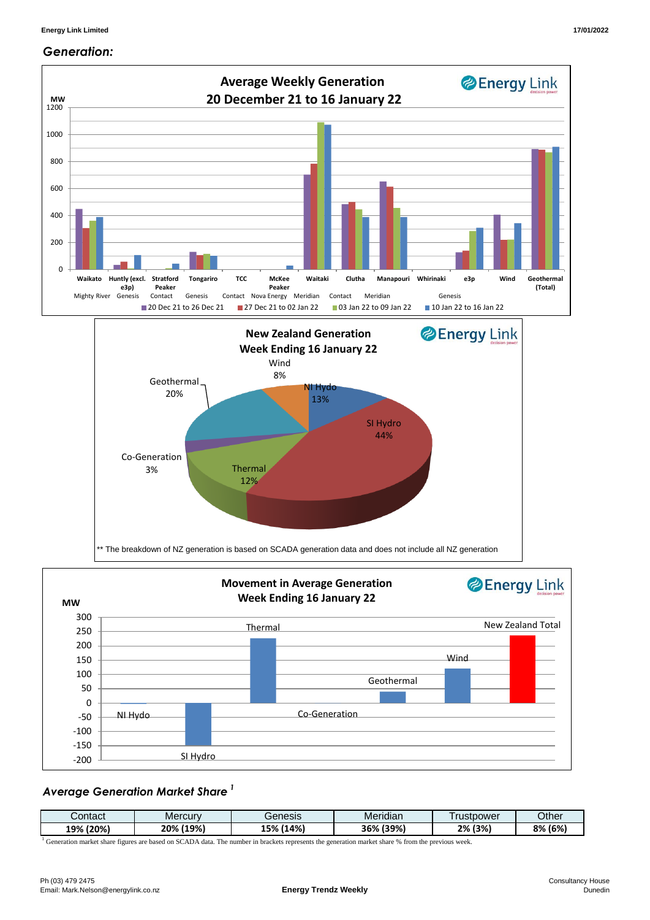#### *Generation:*



# *Average Generation Market Share <sup>1</sup>*

| contact      | Mercurv              | Benesis                     | $\cdots$<br>Meridian      | rustpower | <b>Dther</b> |
|--------------|----------------------|-----------------------------|---------------------------|-----------|--------------|
| (20%)<br>19% | 1100'<br>∕י∩סי<br>7٥ | (14%)<br>I E O/<br>70<br>-- | ാറാ/<br>つこの<br>170<br>. . | (3%<br>2% | (6%)<br>8%   |

<sup>1</sup> Generation market share figures are based on SCADA data. The number in brackets represents the generation market share % from the previous week.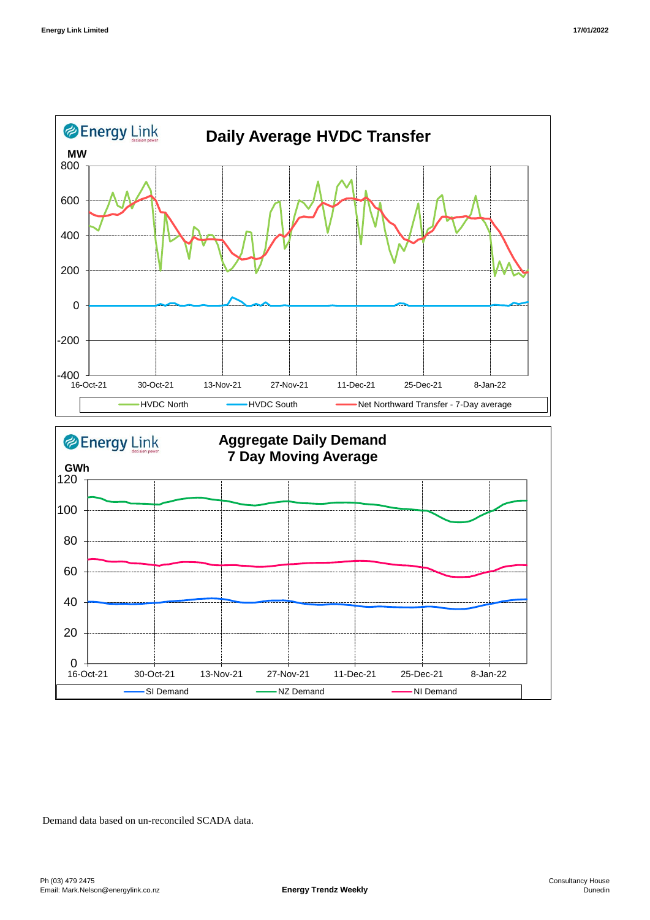



Demand data based on un-reconciled SCADA data.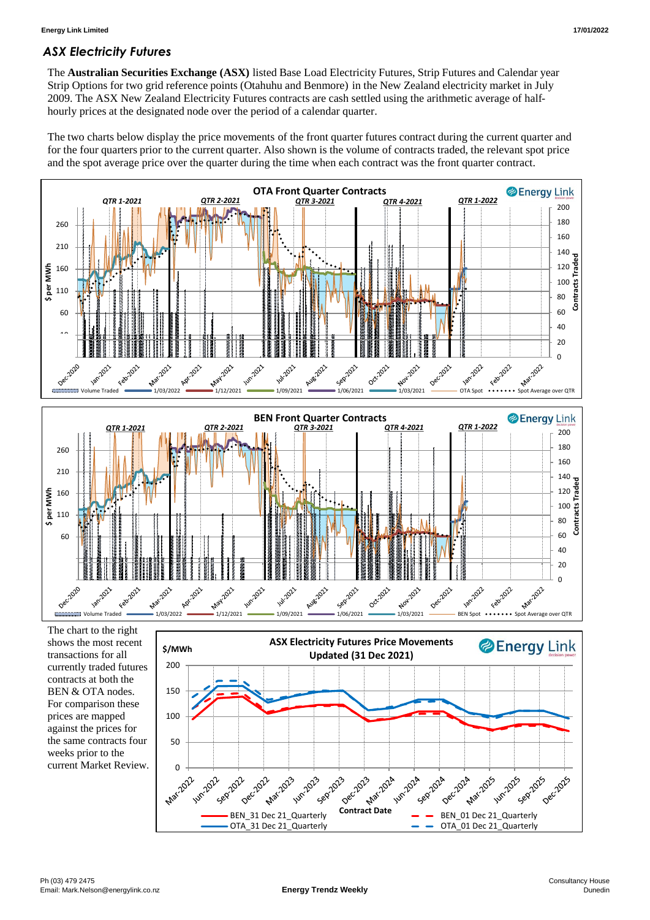## *ASX Electricity Futures*

The **Australian Securities Exchange (ASX)** listed Base Load Electricity Futures, Strip Futures and Calendar year Strip Options for two grid reference points (Otahuhu and Benmore) in the New Zealand electricity market in July 2009. The ASX New Zealand Electricity Futures contracts are cash settled using the arithmetic average of halfhourly prices at the designated node over the period of a calendar quarter.

The two charts below display the price movements of the front quarter futures contract during the current quarter and for the four quarters prior to the current quarter. Also shown is the volume of contracts traded, the relevant spot price and the spot average price over the quarter during the time when each contract was the front quarter contract.



The chart to the right shows the most recent transactions for all currently traded futures contracts at both the BEN & OTA nodes. For comparison these prices are mapped against the prices for the same contracts four weeks prior to the current Market Review.